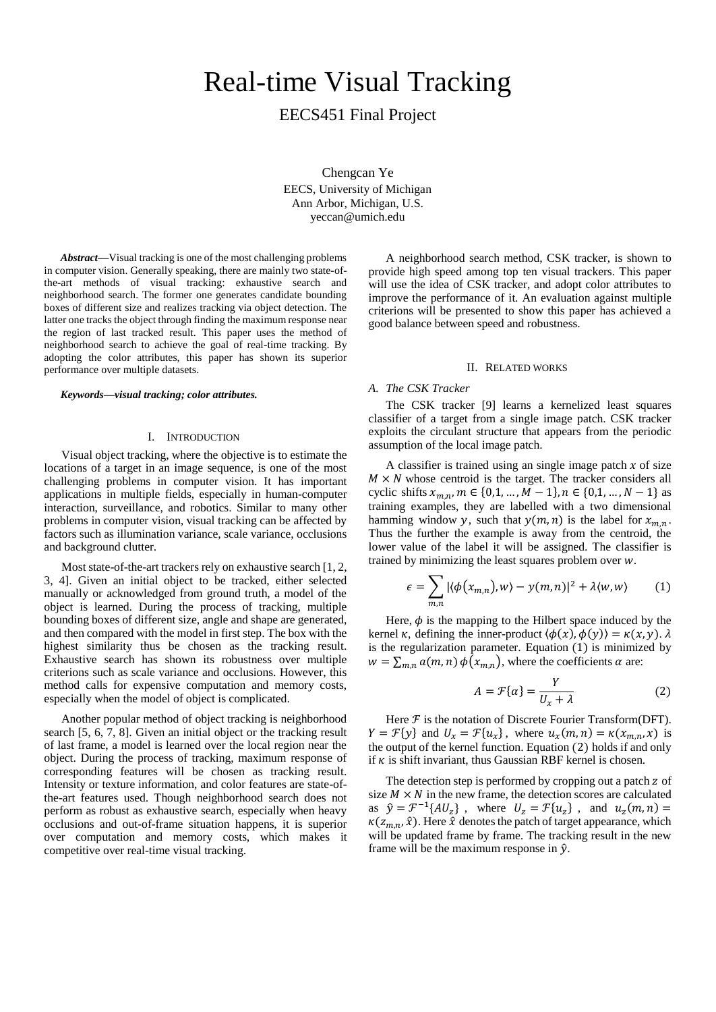# Real-time Visual Tracking

EECS451 Final Project

Chengcan Ye

EECS, University of Michigan Ann Arbor, Michigan, U.S. yeccan@umich.edu

*Abstract***—**Visual tracking is one of the most challenging problems in computer vision. Generally speaking, there are mainly two state-ofthe-art methods of visual tracking: exhaustive search and neighborhood search. The former one generates candidate bounding boxes of different size and realizes tracking via object detection. The latter one tracks the object through finding the maximum response near the region of last tracked result. This paper uses the method of neighborhood search to achieve the goal of real-time tracking. By adopting the color attributes, this paper has shown its superior performance over multiple datasets.

#### *Keywords—visual tracking; color attributes.*

## I. INTRODUCTION

Visual object tracking, where the objective is to estimate the locations of a target in an image sequence, is one of the most challenging problems in computer vision. It has important applications in multiple fields, especially in human-computer interaction, surveillance, and robotics. Similar to many other problems in computer vision, visual tracking can be affected by factors such as illumination variance, scale variance, occlusions and background clutter.

Most state-of-the-art trackers rely on exhaustive search [1, 2, 3, 4]. Given an initial object to be tracked, either selected manually or acknowledged from ground truth, a model of the object is learned. During the process of tracking, multiple bounding boxes of different size, angle and shape are generated, and then compared with the model in first step. The box with the highest similarity thus be chosen as the tracking result. Exhaustive search has shown its robustness over multiple criterions such as scale variance and occlusions. However, this method calls for expensive computation and memory costs, especially when the model of object is complicated.

Another popular method of object tracking is neighborhood search [5, 6, 7, 8]. Given an initial object or the tracking result of last frame, a model is learned over the local region near the object. During the process of tracking, maximum response of corresponding features will be chosen as tracking result. Intensity or texture information, and color features are state-ofthe-art features used. Though neighborhood search does not perform as robust as exhaustive search, especially when heavy occlusions and out-of-frame situation happens, it is superior over computation and memory costs, which makes it competitive over real-time visual tracking.

A neighborhood search method, CSK tracker, is shown to provide high speed among top ten visual trackers. This paper will use the idea of CSK tracker, and adopt color attributes to improve the performance of it. An evaluation against multiple criterions will be presented to show this paper has achieved a good balance between speed and robustness.

### II. RELATED WORKS

# *A. The CSK Tracker*

The CSK tracker [9] learns a kernelized least squares classifier of a target from a single image patch. CSK tracker exploits the circulant structure that appears from the periodic assumption of the local image patch.

A classifier is trained using an single image patch  $x$  of size  $M \times N$  whose centroid is the target. The tracker considers all cyclic shifts  $x_{m,n}$ ,  $m \in \{0,1, ..., M-1\}$ ,  $n \in \{0,1, ..., N-1\}$  as training examples, they are labelled with a two dimensional hamming window y, such that  $y(m, n)$  is the label for  $x_{m,n}$ . Thus the further the example is away from the centroid, the lower value of the label it will be assigned. The classifier is trained by minimizing the least squares problem over  $w$ .

$$
\epsilon = \sum_{m,n} |\langle \phi(x_{m,n}), w \rangle - y(m,n)|^2 + \lambda \langle w, w \rangle \tag{1}
$$

Here,  $\phi$  is the mapping to the Hilbert space induced by the kernel  $\kappa$ , defining the inner-product  $\langle \phi(x), \phi(y) \rangle = \kappa(x, y)$ .  $\lambda$ is the regularization parameter. Equation (1) is minimized by  $w = \sum_{m,n} a(m,n) \phi(x_{m,n})$ , where the coefficients  $\alpha$  are:

$$
A = \mathcal{F}\{\alpha\} = \frac{Y}{U_x + \lambda} \tag{2}
$$

Here  $F$  is the notation of Discrete Fourier Transform(DFT).  $Y = \mathcal{F}{y}$  and  $U_x = \mathcal{F}{u_x}$ , where  $u_x(m, n) = \kappa(x_{m,n}, x)$  is the output of the kernel function. Equation (2) holds if and only if  $\kappa$  is shift invariant, thus Gaussian RBF kernel is chosen.

The detection step is performed by cropping out a patch z of size  $M \times N$  in the new frame, the detection scores are calculated as  $\hat{y} = \mathcal{F}^{-1}{AU_z}$ , where  $U_z = \mathcal{F}{u_z}$ , and  $u_z(m, n) =$  $\kappa(z_{m,n},\hat{x})$ . Here  $\hat{x}$  denotes the patch of target appearance, which will be updated frame by frame. The tracking result in the new frame will be the maximum response in  $\hat{v}$ .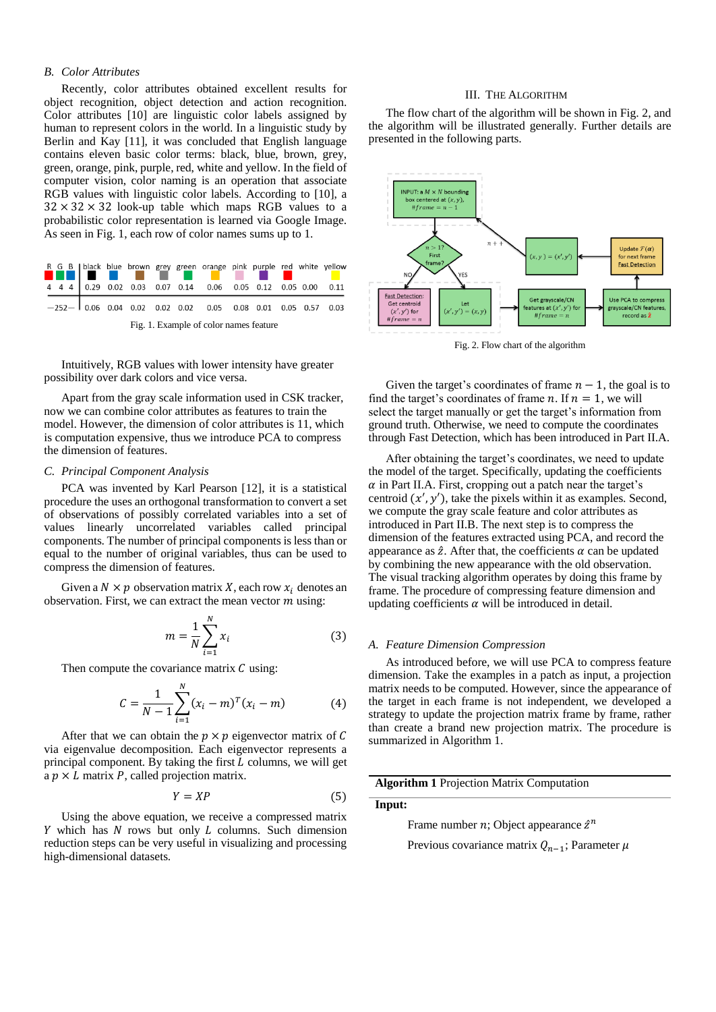# *B. Color Attributes*

Recently, color attributes obtained excellent results for object recognition, object detection and action recognition. Color attributes [10] are linguistic color labels assigned by human to represent colors in the world. In a linguistic study by Berlin and Kay [11], it was concluded that English language contains eleven basic color terms: black, blue, brown, grey, green, orange, pink, purple, red, white and yellow. In the field of computer vision, color naming is an operation that associate RGB values with linguistic color labels. According to [10], a  $32 \times 32 \times 32$  look-up table which maps RGB values to a probabilistic color representation is learned via Google Image. As seen in Fig. 1, each row of color names sums up to 1.



Intuitively, RGB values with lower intensity have greater possibility over dark colors and vice versa.

Apart from the gray scale information used in CSK tracker, now we can combine color attributes as features to train the model. However, the dimension of color attributes is 11, which is computation expensive, thus we introduce PCA to compress the dimension of features.

#### *C. Principal Component Analysis*

PCA was invented by Karl Pearson [12], it is a statistical procedure the uses an orthogonal transformation to convert a set of observations of possibly correlated variables into a set of values linearly uncorrelated variables called principal components. The number of principal components is less than or equal to the number of original variables, thus can be used to compress the dimension of features.

Given a  $N \times p$  observation matrix X, each row  $x_i$  denotes an observation. First, we can extract the mean vector  $m$  using:

$$
m = \frac{1}{N} \sum_{i=1}^{N} x_i
$$
 (3)

Then compute the covariance matrix  $C$  using:

$$
C = \frac{1}{N-1} \sum_{i=1}^{N} (x_i - m)^T (x_i - m)
$$
 (4)

After that we can obtain the  $p \times p$  eigenvector matrix of C via eigenvalue decomposition. Each eigenvector represents a principal component. By taking the first  $L$  columns, we will get a  $p \times L$  matrix P, called projection matrix.

$$
Y = XP
$$
 (5)

Using the above equation, we receive a compressed matrix  $Y$  which has  $N$  rows but only  $L$  columns. Such dimension reduction steps can be very useful in visualizing and processing high-dimensional datasets.

#### III. THE ALGORITHM

The flow chart of the algorithm will be shown in Fig. 2, and the algorithm will be illustrated generally. Further details are presented in the following parts.



Fig. 2. Flow chart of the algorithm

Given the target's coordinates of frame  $n - 1$ , the goal is to find the target's coordinates of frame  $n$ . If  $n = 1$ , we will select the target manually or get the target's information from ground truth. Otherwise, we need to compute the coordinates through Fast Detection, which has been introduced in Part II.A.

After obtaining the target's coordinates, we need to update the model of the target. Specifically, updating the coefficients  $\alpha$  in Part II.A. First, cropping out a patch near the target's centroid  $(x', y')$ , take the pixels within it as examples. Second, we compute the gray scale feature and color attributes as introduced in Part II.B. The next step is to compress the dimension of the features extracted using PCA, and record the appearance as  $\hat{z}$ . After that, the coefficients  $\alpha$  can be updated by combining the new appearance with the old observation. The visual tracking algorithm operates by doing this frame by frame. The procedure of compressing feature dimension and updating coefficients  $\alpha$  will be introduced in detail.

## *A. Feature Dimension Compression*

As introduced before, we will use PCA to compress feature dimension. Take the examples in a patch as input, a projection matrix needs to be computed. However, since the appearance of the target in each frame is not independent, we developed a strategy to update the projection matrix frame by frame, rather than create a brand new projection matrix. The procedure is summarized in Algorithm 1.

**Algorithm 1** Projection Matrix Computation

# **Input:**

Frame number  $n$ ; Object appearance  $\hat{z}^n$ 

Previous covariance matrix  $Q_{n-1}$ ; Parameter  $\mu$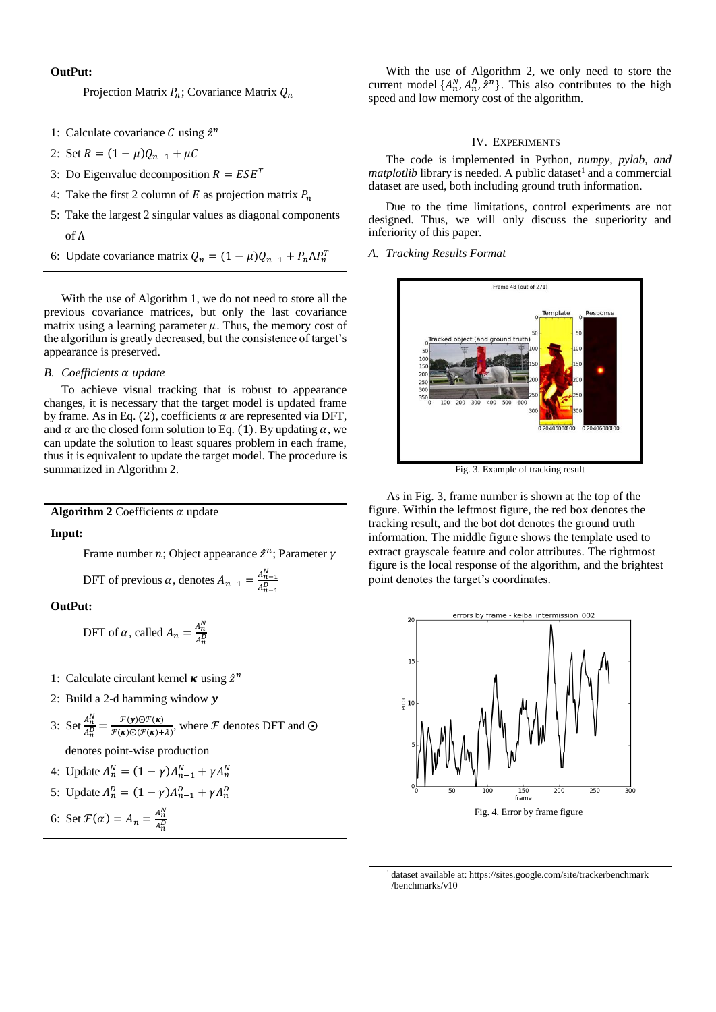# **OutPut:**

Projection Matrix  $P_n$ ; Covariance Matrix  $Q_n$ 

- 1: Calculate covariance  $C$  using  $\hat{z}^n$
- 2: Set  $R = (1 \mu)Q_{n-1} + \mu C$
- 3: Do Eigenvalue decomposition  $R = ESE^{T}$
- 4: Take the first 2 column of  $E$  as projection matrix  $P_n$
- 5: Take the largest 2 singular values as diagonal components of Λ
- 6: Update covariance matrix  $Q_n = (1 \mu)Q_{n-1} + P_n \Lambda P_n^T$

With the use of Algorithm 1, we do not need to store all the previous covariance matrices, but only the last covariance matrix using a learning parameter  $\mu$ . Thus, the memory cost of the algorithm is greatly decreased, but the consistence of target's appearance is preserved.

# *B. Coefficients update*

To achieve visual tracking that is robust to appearance changes, it is necessary that the target model is updated frame by frame. As in Eq. (2), coefficients  $\alpha$  are represented via DFT, and  $\alpha$  are the closed form solution to Eq. (1). By updating  $\alpha$ , we can update the solution to least squares problem in each frame, thus it is equivalent to update the target model. The procedure is summarized in Algorithm 2.

**Algorithm 2** Coefficients  $\alpha$  update

# **Input:**

Frame number  $n$ ; Object appearance  $\hat{z}^n$ ; Parameter  $\gamma$ 

DFT of previous  $\alpha$ , denotes  $A_{n-1} = \frac{A_{n-1}^N}{\alpha D}$  $A_{n-1}^D$ 

**OutPut:** 

- DFT of  $\alpha$ , called  $A_n = \frac{A_n^N}{4R}$  $A_n^D$
- 1: Calculate circulant kernel  $\kappa$  using  $\hat{z}^n$
- 2: Build a 2-d hamming window  $y$
- 3: Set  $\frac{A_n^N}{4D}$  $\frac{A_n^N}{A_n^D} = \frac{\mathcal{F}(y) \odot \mathcal{F}(\kappa)}{\mathcal{F}(\kappa) \odot (\mathcal{F}(\kappa))}$  $\frac{\mathcal{F}(\mathbf{y}) \ominus \mathcal{F}(\mathbf{x})}{\mathcal{F}(\mathbf{x}) \ominus (\mathcal{F}(\mathbf{x}) + \lambda)},$  where  $\mathcal F$  denotes DFT and  $\odot$

denotes point-wise production

4: Update  $A_n^N = (1 - \gamma)A_{n-1}^N + \gamma A_n^N$ 

5: Update 
$$
A_n^D = (1 - \gamma)A_{n-1}^D + \gamma A_n^D
$$

6: Set 
$$
\mathcal{F}(\alpha) = A_n = \frac{A_n^N}{A_n^D}
$$

With the use of Algorithm 2, we only need to store the current model  $\{A_n^N, A_n^D, \hat{z}^n\}$ . This also contributes to the high speed and low memory cost of the algorithm.

# IV. EXPERIMENTS

The code is implemented in Python, *numpy, pylab, and matplotlib* library is needed. A public dataset<sup>1</sup> and a commercial dataset are used, both including ground truth information.

Due to the time limitations, control experiments are not designed. Thus, we will only discuss the superiority and inferiority of this paper.

*A. Tracking Results Format*



Fig. 3. Example of tracking result

 As in Fig. 3, frame number is shown at the top of the figure. Within the leftmost figure, the red box denotes the tracking result, and the bot dot denotes the ground truth information. The middle figure shows the template used to extract grayscale feature and color attributes. The rightmost figure is the local response of the algorithm, and the brightest point denotes the target's coordinates.



<sup>1</sup>dataset available at: https://sites.google.com/site/trackerbenchmark /benchmarks/v10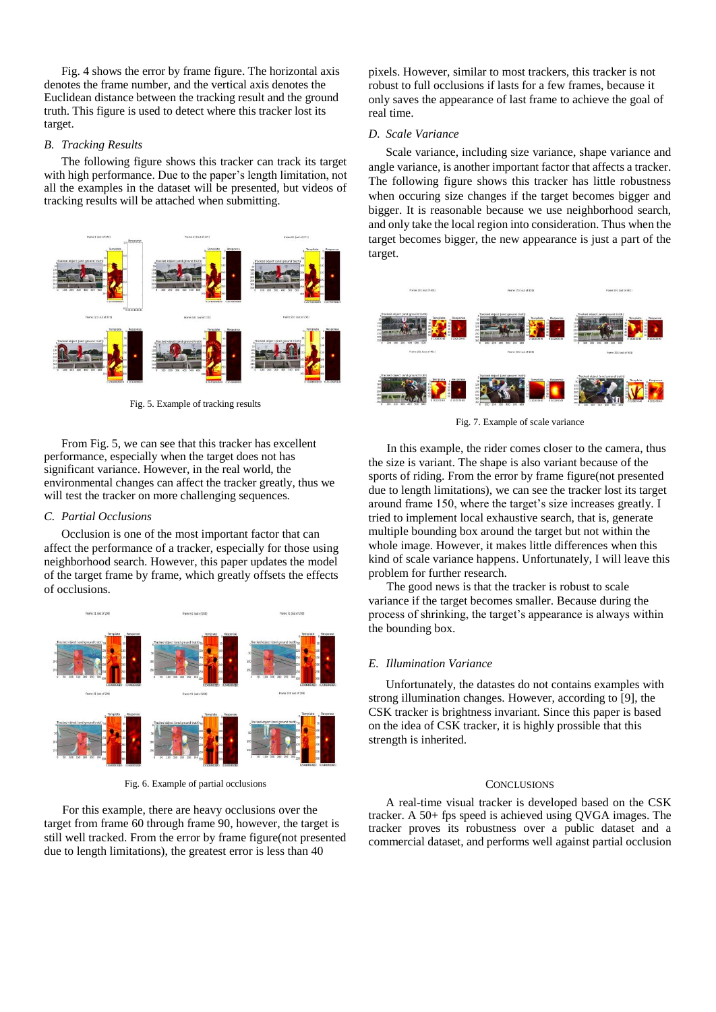Fig. 4 shows the error by frame figure. The horizontal axis denotes the frame number, and the vertical axis denotes the Euclidean distance between the tracking result and the ground truth. This figure is used to detect where this tracker lost its target.

# *B. Tracking Results*

The following figure shows this tracker can track its target with high performance. Due to the paper's length limitation, not all the examples in the dataset will be presented, but videos of tracking results will be attached when submitting.



Fig. 5. Example of tracking results

From Fig. 5, we can see that this tracker has excellent performance, especially when the target does not has significant variance. However, in the real world, the environmental changes can affect the tracker greatly, thus we will test the tracker on more challenging sequences.

# *C. Partial Occlusions*

Occlusion is one of the most important factor that can affect the performance of a tracker, especially for those using neighborhood search. However, this paper updates the model of the target frame by frame, which greatly offsets the effects of occlusions.



Fig. 6. Example of partial occlusions

 For this example, there are heavy occlusions over the target from frame 60 through frame 90, however, the target is still well tracked. From the error by frame figure(not presented due to length limitations), the greatest error is less than 40

pixels. However, similar to most trackers, this tracker is not robust to full occlusions if lasts for a few frames, because it only saves the appearance of last frame to achieve the goal of real time.

## *D. Scale Variance*

Scale variance, including size variance, shape variance and angle variance, is another important factor that affects a tracker. The following figure shows this tracker has little robustness when occuring size changes if the target becomes bigger and bigger. It is reasonable because we use neighborhood search, and only take the local region into consideration. Thus when the target becomes bigger, the new appearance is just a part of the target.



Fig. 7. Example of scale variance

 In this example, the rider comes closer to the camera, thus the size is variant. The shape is also variant because of the sports of riding. From the error by frame figure(not presented due to length limitations), we can see the tracker lost its target around frame 150, where the target's size increases greatly. I tried to implement local exhaustive search, that is, generate multiple bounding box around the target but not within the whole image. However, it makes little differences when this kind of scale variance happens. Unfortunately, I will leave this problem for further research.

 The good news is that the tracker is robust to scale variance if the target becomes smaller. Because during the process of shrinking, the target's appearance is always within the bounding box.

## *E. Illumination Variance*

Unfortunately, the datastes do not contains examples with strong illumination changes. However, according to [9], the CSK tracker is brightness invariant. Since this paper is based on the idea of CSK tracker, it is highly prossible that this strength is inherited.

## **CONCLUSIONS**

A real-time visual tracker is developed based on the CSK tracker. A 50+ fps speed is achieved using QVGA images. The tracker proves its robustness over a public dataset and a commercial dataset, and performs well against partial occlusion